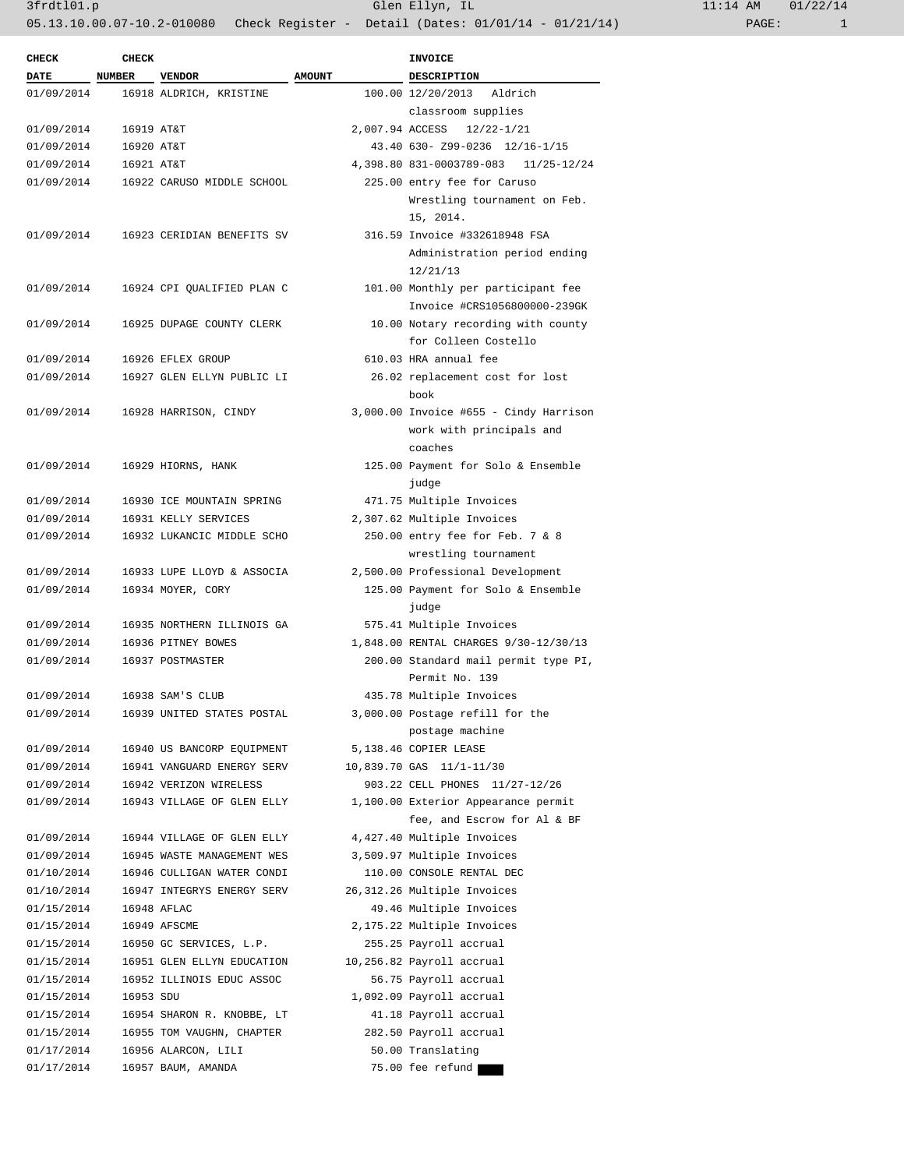| <b>CHECK</b> | <b>CHECK</b> |                            |               | INVOICE                                |
|--------------|--------------|----------------------------|---------------|----------------------------------------|
| <b>DATE</b>  | NUMBER       | <b>VENDOR</b>              | <b>AMOUNT</b> | DESCRIPTION                            |
| 01/09/2014   |              | 16918 ALDRICH, KRISTINE    |               | 100.00 12/20/2013<br>Aldrich           |
|              |              |                            |               | classroom supplies                     |
| 01/09/2014   | 16919 AT&T   |                            |               | 2,007.94 ACCESS<br>$12/22 - 1/21$      |
| 01/09/2014   | 16920 AT&T   |                            |               | 43.40 630- Z99-0236 12/16-1/15         |
| 01/09/2014   | 16921 AT&T   |                            |               | 4,398.80 831-0003789-083 11/25-12/24   |
| 01/09/2014   |              | 16922 CARUSO MIDDLE SCHOOL |               | 225.00 entry fee for Caruso            |
|              |              |                            |               |                                        |
|              |              |                            |               | Wrestling tournament on Feb.           |
|              |              |                            |               | 15, 2014.                              |
| 01/09/2014   |              | 16923 CERIDIAN BENEFITS SV |               | 316.59 Invoice #332618948 FSA          |
|              |              |                            |               | Administration period ending           |
|              |              |                            |               | 12/21/13                               |
| 01/09/2014   |              | 16924 CPI QUALIFIED PLAN C |               | 101.00 Monthly per participant fee     |
|              |              |                            |               | Invoice #CRS1056800000-239GK           |
| 01/09/2014   |              | 16925 DUPAGE COUNTY CLERK  |               | 10.00 Notary recording with county     |
|              |              |                            |               | for Colleen Costello                   |
| 01/09/2014   |              | 16926 EFLEX GROUP          |               | 610.03 HRA annual fee                  |
| 01/09/2014   |              | 16927 GLEN ELLYN PUBLIC LI |               | 26.02 replacement cost for lost        |
|              |              |                            |               | book                                   |
| 01/09/2014   |              | 16928 HARRISON, CINDY      |               | 3,000.00 Invoice #655 - Cindy Harrison |
|              |              |                            |               | work with principals and               |
|              |              |                            |               | coaches                                |
| 01/09/2014   |              | 16929 HIORNS, HANK         |               | 125.00 Payment for Solo & Ensemble     |
|              |              |                            |               |                                        |
|              |              |                            |               | judge                                  |
| 01/09/2014   |              | 16930 ICE MOUNTAIN SPRING  |               | 471.75 Multiple Invoices               |
| 01/09/2014   |              | 16931 KELLY SERVICES       |               | 2,307.62 Multiple Invoices             |
| 01/09/2014   |              | 16932 LUKANCIC MIDDLE SCHO |               | 250.00 entry fee for Feb. 7 & 8        |
|              |              |                            |               | wrestling tournament                   |
| 01/09/2014   |              | 16933 LUPE LLOYD & ASSOCIA |               | 2,500.00 Professional Development      |
| 01/09/2014   |              | 16934 MOYER, CORY          |               | 125.00 Payment for Solo & Ensemble     |
|              |              |                            |               | judge                                  |
| 01/09/2014   |              | 16935 NORTHERN ILLINOIS GA |               | 575.41 Multiple Invoices               |
| 01/09/2014   |              | 16936 PITNEY BOWES         |               | 1,848.00 RENTAL CHARGES 9/30-12/30/13  |
| 01/09/2014   |              | 16937 POSTMASTER           |               | 200.00 Standard mail permit type PI,   |
|              |              |                            |               | Permit No. 139                         |
| 01/09/2014   |              | 16938 SAM'S CLUB           |               | 435.78 Multiple Invoices               |
| 01/09/2014   |              | 16939 UNITED STATES POSTAL |               | 3,000.00 Postage refill for the        |
|              |              |                            |               | postage machine                        |
| 01/09/2014   |              | 16940 US BANCORP EQUIPMENT |               | 5,138.46 COPIER LEASE                  |
| 01/09/2014   |              | 16941 VANGUARD ENERGY SERV |               | 10,839.70 GAS 11/1-11/30               |
| 01/09/2014   |              | 16942 VERIZON WIRELESS     |               | 903.22 CELL PHONES 11/27-12/26         |
| 01/09/2014   |              | 16943 VILLAGE OF GLEN ELLY |               | 1,100.00 Exterior Appearance permit    |
|              |              |                            |               | fee, and Escrow for Al & BF            |
|              |              | 16944 VILLAGE OF GLEN ELLY |               |                                        |
| 01/09/2014   |              |                            |               | 4,427.40 Multiple Invoices             |
| 01/09/2014   |              | 16945 WASTE MANAGEMENT WES |               | 3,509.97 Multiple Invoices             |
| 01/10/2014   |              | 16946 CULLIGAN WATER CONDI |               | 110.00 CONSOLE RENTAL DEC              |
| 01/10/2014   |              | 16947 INTEGRYS ENERGY SERV |               | 26,312.26 Multiple Invoices            |
| 01/15/2014   |              | 16948 AFLAC                |               | 49.46 Multiple Invoices                |
| 01/15/2014   |              | 16949 AFSCME               |               | 2,175.22 Multiple Invoices             |
| 01/15/2014   |              | 16950 GC SERVICES, L.P.    |               | 255.25 Payroll accrual                 |
| 01/15/2014   |              | 16951 GLEN ELLYN EDUCATION |               | 10,256.82 Payroll accrual              |
| 01/15/2014   |              | 16952 ILLINOIS EDUC ASSOC  |               | 56.75 Payroll accrual                  |
| 01/15/2014   | 16953 SDU    |                            |               | 1,092.09 Payroll accrual               |
| 01/15/2014   |              | 16954 SHARON R. KNOBBE, LT |               | 41.18 Payroll accrual                  |
| 01/15/2014   |              | 16955 TOM VAUGHN, CHAPTER  |               | 282.50 Payroll accrual                 |
| 01/17/2014   |              | 16956 ALARCON, LILI        |               | 50.00 Translating                      |
| 01/17/2014   |              | 16957 BAUM, AMANDA         |               | 75.00 fee refund                       |
|              |              |                            |               |                                        |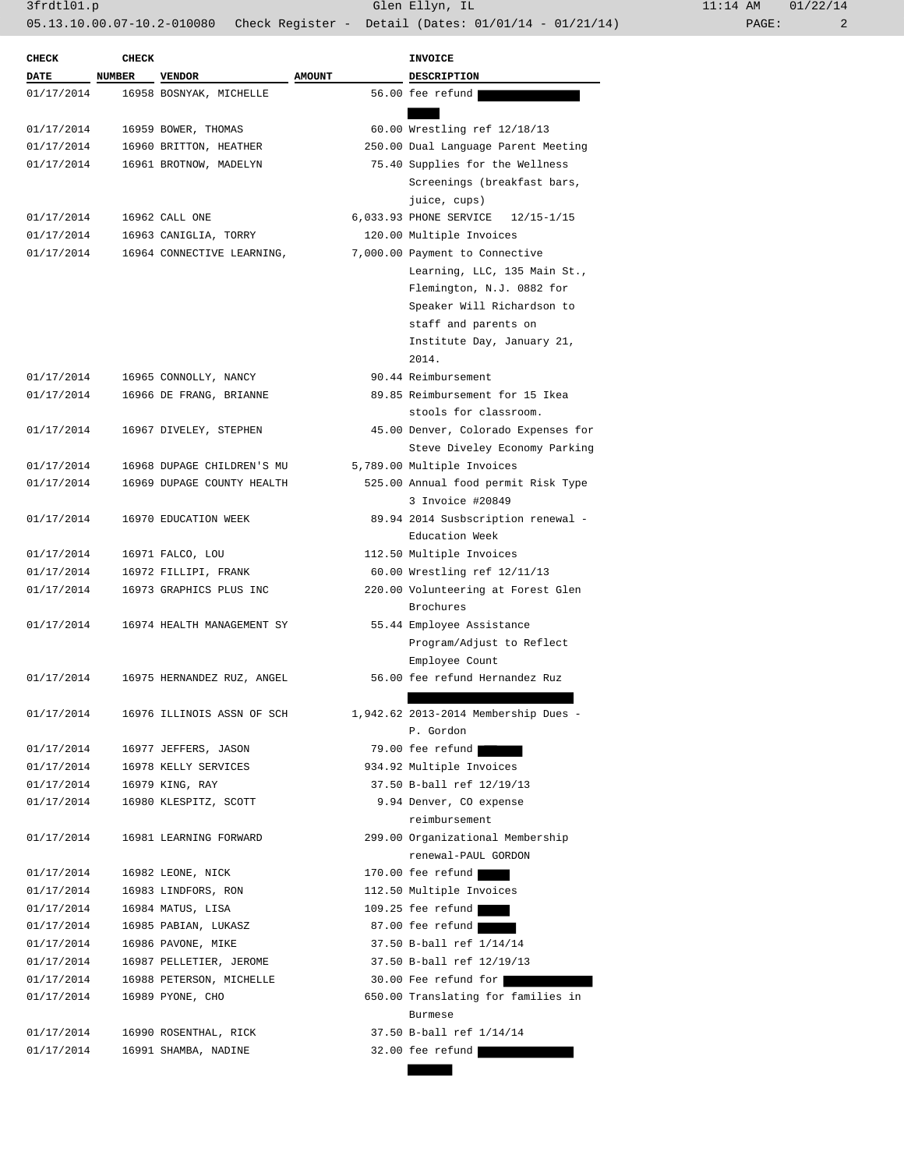3frdtl01.p Glen Ellyn, IL 11:14 AM 01/22/14 05.13.10.00.07-10.2-010080 Check Register - Detail (Dates: 01/01/14 - 01/21/14) PAGE: 2

|                           |               |                                          |               | <b>INVOICE</b>                                                |
|---------------------------|---------------|------------------------------------------|---------------|---------------------------------------------------------------|
| <b>CHECK</b>              | <b>CHECK</b>  |                                          |               |                                                               |
| <b>DATE</b><br>01/17/2014 | <b>NUMBER</b> | <b>VENDOR</b><br>16958 BOSNYAK, MICHELLE | <b>AMOUNT</b> | <b>DESCRIPTION</b><br>56.00 fee refund                        |
|                           |               |                                          |               |                                                               |
| 01/17/2014                |               | 16959 BOWER, THOMAS                      |               | 60.00 Wrestling ref 12/18/13                                  |
| 01/17/2014                |               | 16960 BRITTON, HEATHER                   |               | 250.00 Dual Language Parent Meeting                           |
| 01/17/2014                |               | 16961 BROTNOW, MADELYN                   |               | 75.40 Supplies for the Wellness                               |
|                           |               |                                          |               | Screenings (breakfast bars,                                   |
|                           |               |                                          |               | juice, cups)                                                  |
| 01/17/2014                |               | 16962 CALL ONE                           |               |                                                               |
| 01/17/2014                |               |                                          |               | 6,033.93 PHONE SERVICE 12/15-1/15<br>120.00 Multiple Invoices |
| 01/17/2014                |               | 16963 CANIGLIA, TORRY                    |               | 7,000.00 Payment to Connective                                |
|                           |               | 16964 CONNECTIVE LEARNING,               |               |                                                               |
|                           |               |                                          |               | Learning, LLC, 135 Main St.,                                  |
|                           |               |                                          |               | Flemington, N.J. 0882 for                                     |
|                           |               |                                          |               | Speaker Will Richardson to<br>staff and parents on            |
|                           |               |                                          |               |                                                               |
|                           |               |                                          |               | Institute Day, January 21,<br>2014.                           |
| 01/17/2014                |               | 16965 CONNOLLY, NANCY                    |               | 90.44 Reimbursement                                           |
| 01/17/2014                |               |                                          |               | 89.85 Reimbursement for 15 Ikea                               |
|                           |               | 16966 DE FRANG, BRIANNE                  |               | stools for classroom.                                         |
|                           |               |                                          |               |                                                               |
| 01/17/2014                |               | 16967 DIVELEY, STEPHEN                   |               | 45.00 Denver, Colorado Expenses for                           |
|                           |               | 16968 DUPAGE CHILDREN'S MU               |               | Steve Diveley Economy Parking                                 |
| 01/17/2014                |               |                                          |               | 5,789.00 Multiple Invoices                                    |
| 01/17/2014                |               | 16969 DUPAGE COUNTY HEALTH               |               | 525.00 Annual food permit Risk Type                           |
|                           |               |                                          |               | 3 Invoice #20849                                              |
| 01/17/2014                |               | 16970 EDUCATION WEEK                     |               | 89.94 2014 Susbscription renewal -                            |
|                           |               |                                          |               | Education Week                                                |
| 01/17/2014                |               | 16971 FALCO, LOU                         |               | 112.50 Multiple Invoices                                      |
| 01/17/2014                |               | 16972 FILLIPI, FRANK                     |               | 60.00 Wrestling ref 12/11/13                                  |
| 01/17/2014                |               | 16973 GRAPHICS PLUS INC                  |               | 220.00 Volunteering at Forest Glen                            |
|                           |               |                                          |               | Brochures                                                     |
| 01/17/2014                |               | 16974 HEALTH MANAGEMENT SY               |               | 55.44 Employee Assistance                                     |
|                           |               |                                          |               | Program/Adjust to Reflect                                     |
|                           |               |                                          |               | Employee Count                                                |
| 01/17/2014                |               | 16975 HERNANDEZ RUZ, ANGEL               |               | 56.00 fee refund Hernandez Ruz                                |
|                           |               |                                          |               |                                                               |
| 01/17/2014                |               | 16976 ILLINOIS ASSN OF SCH               |               | 1,942.62 2013-2014 Membership Dues -                          |
|                           |               |                                          |               | P. Gordon                                                     |
| 01/17/2014                |               | 16977 JEFFERS, JASON                     |               | 79.00 fee refund                                              |
| 01/17/2014                |               | 16978 KELLY SERVICES                     |               | 934.92 Multiple Invoices                                      |
| 01/17/2014                |               | 16979 KING, RAY                          |               | 37.50 B-ball ref 12/19/13                                     |
| 01/17/2014                |               | 16980 KLESPITZ, SCOTT                    |               | 9.94 Denver, CO expense                                       |
|                           |               |                                          |               | reimbursement                                                 |
| 01/17/2014                |               | 16981 LEARNING FORWARD                   |               | 299.00 Organizational Membership                              |
|                           |               |                                          |               | renewal-PAUL GORDON                                           |
| 01/17/2014                |               | 16982 LEONE, NICK                        |               | 170.00 fee refund                                             |
| 01/17/2014                |               | 16983 LINDFORS, RON                      |               | 112.50 Multiple Invoices                                      |
| 01/17/2014                |               | 16984 MATUS, LISA                        |               | 109.25 fee refund                                             |
| 01/17/2014                |               | 16985 PABIAN, LUKASZ                     |               | 87.00 fee refund                                              |
| 01/17/2014                |               | 16986 PAVONE, MIKE                       |               | 37.50 B-ball ref 1/14/14                                      |
| 01/17/2014                |               | 16987 PELLETIER, JEROME                  |               | 37.50 B-ball ref 12/19/13                                     |
| 01/17/2014                |               | 16988 PETERSON, MICHELLE                 |               | 30.00 Fee refund for                                          |
| 01/17/2014                |               | 16989 PYONE, CHO                         |               | 650.00 Translating for families in                            |
|                           |               |                                          |               | Burmese                                                       |
| 01/17/2014                |               | 16990 ROSENTHAL, RICK                    |               | 37.50 B-ball ref 1/14/14                                      |
| 01/17/2014                |               | 16991 SHAMBA, NADINE                     |               | 32.00 fee refund                                              |
|                           |               |                                          |               |                                                               |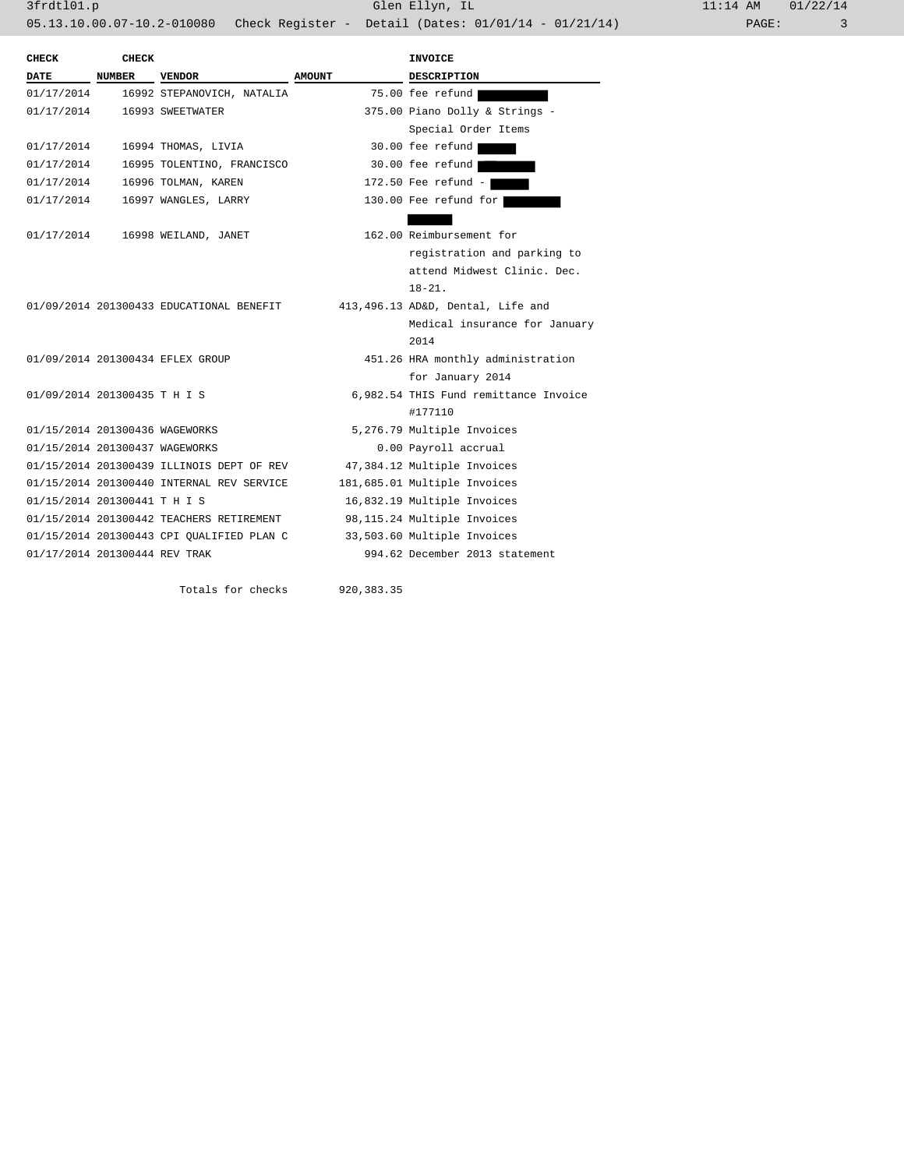| <b>CHECK</b>                   | <b>CHECK</b>  |                                           |               | <b>INVOICE</b>                        |
|--------------------------------|---------------|-------------------------------------------|---------------|---------------------------------------|
| DATE                           | <b>NUMBER</b> | <b>VENDOR</b>                             | <b>AMOUNT</b> | <b>DESCRIPTION</b>                    |
| 01/17/2014                     |               | 16992 STEPANOVICH, NATALIA                |               | 75.00 fee refund                      |
| 01/17/2014                     |               | 16993 SWEETWATER                          |               | 375.00 Piano Dolly & Strings -        |
|                                |               |                                           |               | Special Order Items                   |
| 01/17/2014                     |               | 16994 THOMAS, LIVIA                       |               | 30.00 fee refund                      |
| 01/17/2014                     |               | 16995 TOLENTINO, FRANCISCO                |               | 30.00 fee refund                      |
| 01/17/2014                     |               | 16996 TOLMAN, KAREN                       |               | 172.50 Fee refund -                   |
| 01/17/2014                     |               | 16997 WANGLES, LARRY                      |               | 130.00 Fee refund for                 |
|                                |               |                                           |               |                                       |
| 01/17/2014                     |               | 16998 WEILAND, JANET                      |               | 162.00 Reimbursement for              |
|                                |               |                                           |               | registration and parking to           |
|                                |               |                                           |               | attend Midwest Clinic. Dec.           |
|                                |               |                                           |               | $18 - 21$ .                           |
|                                |               | 01/09/2014 201300433 EDUCATIONAL BENEFIT  |               | 413,496.13 AD&D, Dental, Life and     |
|                                |               |                                           |               | Medical insurance for January         |
|                                |               |                                           |               | 2014                                  |
|                                |               | 01/09/2014 201300434 EFLEX GROUP          |               | 451.26 HRA monthly administration     |
|                                |               |                                           |               | for January 2014                      |
| 01/09/2014 201300435 T H I S   |               |                                           |               | 6,982.54 THIS Fund remittance Invoice |
|                                |               |                                           |               | #177110                               |
| 01/15/2014 201300436 WAGEWORKS |               |                                           |               | 5,276.79 Multiple Invoices            |
| 01/15/2014 201300437 WAGEWORKS |               |                                           |               | 0.00 Payroll accrual                  |
|                                |               | 01/15/2014 201300439 ILLINOIS DEPT OF REV |               | 47,384.12 Multiple Invoices           |
|                                |               | 01/15/2014 201300440 INTERNAL REV SERVICE |               | 181,685.01 Multiple Invoices          |
| 01/15/2014 201300441 T H I S   |               |                                           |               | 16,832.19 Multiple Invoices           |
|                                |               | 01/15/2014 201300442 TEACHERS RETIREMENT  |               | 98,115.24 Multiple Invoices           |
|                                |               | 01/15/2014 201300443 CPI OUALIFIED PLAN C |               | 33,503.60 Multiple Invoices           |
| 01/17/2014 201300444 REV TRAK  |               |                                           |               | 994.62 December 2013 statement        |
|                                |               |                                           |               |                                       |
|                                |               | Totals for checks                         | 920, 383. 35  |                                       |